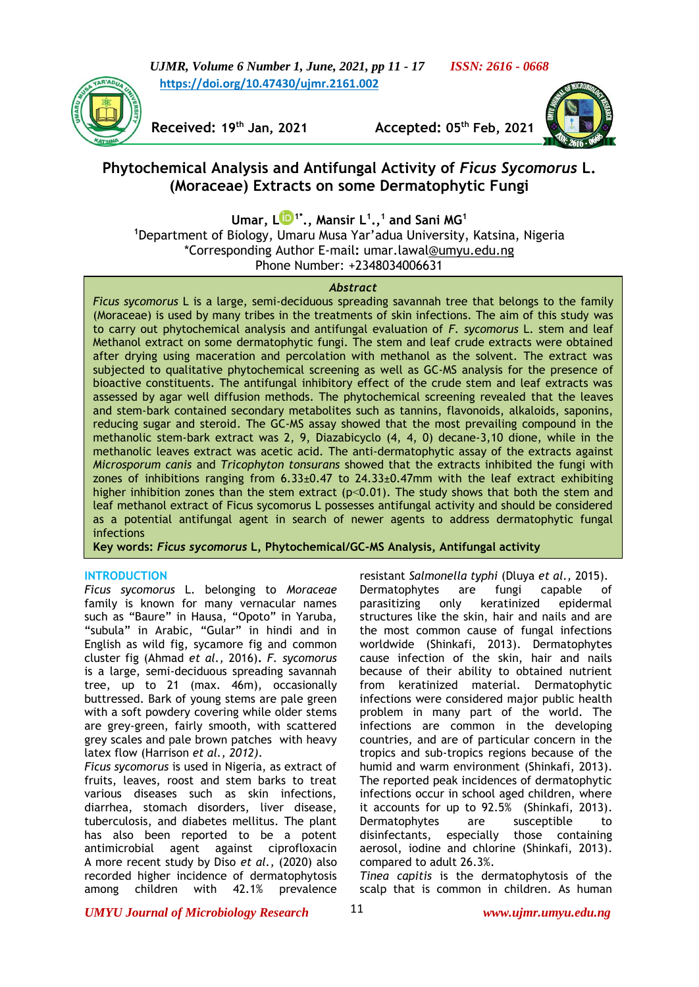



**Received: 19th**

**Jan, 2021 Accepted: 05th Feb, 2021**



# **Phytochemical Analysis and Antifungal Activity of** *Ficus Sycomorus* **L. (Moraceae) Extracts on some Dermatophytic Fungi**

**Umar, [L](https://orcid.org/0000-0002-4193-0306) 1\*., Mansir L<sup>1</sup> ., 1 and Sani MG<sup>1</sup> <sup>1</sup>**Department of Biology, Umaru Musa Yar'adua University, Katsina, Nigeria \*Corresponding Author E-mail**:** umar.lawal@umyu.edu.ng Phone Number: +2348034006631

## *Abstract*

*Ficus sycomorus* L is a large, semi-deciduous spreading savannah tree that belongs to the family (Moraceae) is used by many tribes in the treatments of skin infections. The aim of this study was to carry out phytochemical analysis and antifungal evaluation of *F. sycomorus* L. stem and leaf Methanol extract on some dermatophytic fungi. The stem and leaf crude extracts were obtained after drying using maceration and percolation with methanol as the solvent. The extract was subjected to qualitative phytochemical screening as well as GC-MS analysis for the presence of bioactive constituents. The antifungal inhibitory effect of the crude stem and leaf extracts was assessed by agar well diffusion methods. The phytochemical screening revealed that the leaves and stem-bark contained secondary metabolites such as tannins, flavonoids, alkaloids, saponins, reducing sugar and steroid. The GC-MS assay showed that the most prevailing compound in the methanolic stem-bark extract was 2, 9, Diazabicyclo (4, 4, 0) decane-3,10 dione, while in the methanolic leaves extract was acetic acid. The anti-dermatophytic assay of the extracts against *Microsporum canis* and *Tricophyton tonsurans* showed that the extracts inhibited the fungi with zones of inhibitions ranging from  $6.33 \pm 0.47$  to  $24.33 \pm 0.47$ mm with the leaf extract exhibiting higher inhibition zones than the stem extract (p<0.01). The study shows that both the stem and leaf methanol extract of Ficus sycomorus L possesses antifungal activity and should be considered as a potential antifungal agent in search of newer agents to address dermatophytic fungal infections

**Key words:** *Ficus sycomorus* **L, Phytochemical/GC-MS Analysis, Antifungal activity**

# **INTRODUCTION**

*Ficus sycomorus* L. belonging to *Moraceae* family is known for many vernacular names such as "Baure" in Hausa, "Opoto" in Yaruba, "subula" in Arabic, "Gular" in hindi and in English as wild fig, sycamore fig and common cluster fig (Ahmad *et al.,* 2016)**.** *F. sycomorus* is a large, semi-deciduous spreading savannah tree, up to 21 (max. 46m), occasionally buttressed. Bark of young stems are pale green with a soft powdery covering while older stems are grey-green, fairly smooth, with scattered grey scales and pale brown patches with heavy latex flow (Harrison *et al., 2012)*.

*Ficus sycomorus* is used in Nigeria, as extract of fruits, leaves, roost and stem barks to treat various diseases such as skin infections, diarrhea, stomach disorders, liver disease, tuberculosis, and diabetes mellitus. The plant has also been reported to be a potent antimicrobial agent against ciprofloxacin A more recent study by Diso *et al.,* (2020) also recorded higher incidence of dermatophytosis among children with 42.1% prevalence

resistant *Salmonella typhi* (Dluya *et al.,* 2015). Dermatophytes are fungi capable of parasitizing only keratinized epidermal structures like the skin, hair and nails and are the most common cause of fungal infections worldwide (Shinkafi, 2013). Dermatophytes cause infection of the skin, hair and nails because of their ability to obtained nutrient from keratinized material. Dermatophytic infections were considered major public health problem in many part of the world. The infections are common in the developing countries, and are of particular concern in the tropics and sub-tropics regions because of the humid and warm environment (Shinkafi, 2013). The reported peak incidences of dermatophytic infections occur in school aged children, where it accounts for up to 92.5% (Shinkafi, 2013). Dermatophytes are susceptible to disinfectants, especially those containing aerosol, iodine and chlorine (Shinkafi, 2013). compared to adult 26.3%.

*Tinea capitis* is the dermatophytosis of the scalp that is common in children. As human

*UMYU Journal of Microbiology Research www.ujmr.umyu.edu.ng*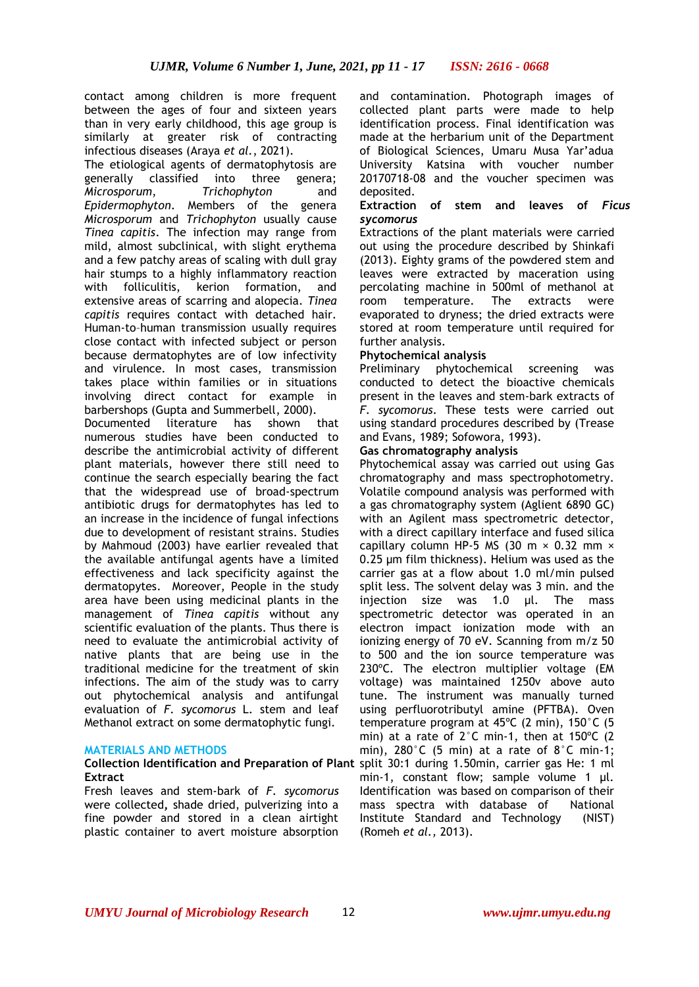contact among children is more frequent between the ages of four and sixteen years than in very early childhood, this age group is similarly at greater risk of contracting infectious diseases (Araya *et al.*, 2021).

The etiological agents of dermatophytosis are generally classified into three genera; *Microsporum*, *Trichophyton* and *Epidermophyton*. Members of the genera *Microsporum* and *Trichophyton* usually cause *Tinea capitis*. The infection may range from mild, almost subclinical, with slight erythema and a few patchy areas of scaling with dull gray hair stumps to a highly inflammatory reaction with folliculitis, kerion formation, and extensive areas of scarring and alopecia. *Tinea capitis* requires contact with detached hair. Human-to–human transmission usually requires close contact with infected subject or person because dermatophytes are of low infectivity and virulence. In most cases, transmission takes place within families or in situations involving direct contact for example in barbershops (Gupta and Summerbell, 2000).

Documented literature has shown that numerous studies have been conducted to describe the antimicrobial activity of different plant materials, however there still need to continue the search especially bearing the fact that the widespread use of broad-spectrum antibiotic drugs for dermatophytes has led to an increase in the incidence of fungal infections due to development of resistant strains. Studies by Mahmoud (2003) have earlier revealed that the available antifungal agents have a limited effectiveness and lack specificity against the dermatopytes. Moreover, People in the study area have been using medicinal plants in the management of *Tinea capitis* without any scientific evaluation of the plants. Thus there is need to evaluate the antimicrobial activity of native plants that are being use in the traditional medicine for the treatment of skin infections. The aim of the study was to carry out phytochemical analysis and antifungal evaluation of *F. sycomorus* L. stem and leaf Methanol extract on some dermatophytic fungi.

# **MATERIALS AND METHODS**

#### **Collection Identification and Preparation of Plant**  split 30:1 during 1.50min, carrier gas He: 1 ml **Extract**

Fresh leaves and stem-bark of *F. sycomorus* were collected**,** shade dried, pulverizing into a fine powder and stored in a clean airtight plastic container to avert moisture absorption and contamination. Photograph images of collected plant parts were made to help identification process. Final identification was made at the herbarium unit of the Department of Biological Sciences, Umaru Musa Yar'adua University Katsina with voucher number 20170718-08 and the voucher specimen was deposited.

## **Extraction of stem and leaves of** *Ficus sycomorus*

Extractions of the plant materials were carried out using the procedure described by Shinkafi (2013). Eighty grams of the powdered stem and leaves were extracted by maceration using percolating machine in 500ml of methanol at room temperature. The extracts were evaporated to dryness; the dried extracts were stored at room temperature until required for further analysis.

# **Phytochemical analysis**

Preliminary phytochemical screening was conducted to detect the bioactive chemicals present in the leaves and stem-bark extracts of *F. sycomorus*. These tests were carried out using standard procedures described by (Trease and Evans, 1989; Sofowora, 1993).

#### **Gas chromatography analysis**

Phytochemical assay was carried out using Gas chromatography and mass spectrophotometry. Volatile compound analysis was performed with a gas chromatography system (Aglient 6890 GC) with an Agilent mass spectrometric detector, with a direct capillary interface and fused silica capillary column HP-5 MS (30 m  $\times$  0.32 mm  $\times$ 0.25 µm film thickness). Helium was used as the carrier gas at a flow about 1.0 ml/min pulsed split less. The solvent delay was 3 min. and the injection size was 1.0 µl. The mass spectrometric detector was operated in an electron impact ionization mode with an ionizing energy of 70 eV. Scanning from m/z 50 to 500 and the ion source temperature was 230ºC. The electron multiplier voltage (EM voltage) was maintained 1250v above auto tune. The instrument was manually turned using perfluorotributyl amine (PFTBA). Oven temperature program at 45ºC (2 min), 150°C (5 min) at a rate of 2°C min-1, then at 150ºC (2 min),  $280^{\circ}$ C (5 min) at a rate of  $8^{\circ}$ C min-1; min-1, constant flow; sample volume 1 µl. Identification was based on comparison of their mass spectra with database of National Institute Standard and Technology (NIST) (Romeh *et al.,* 2013).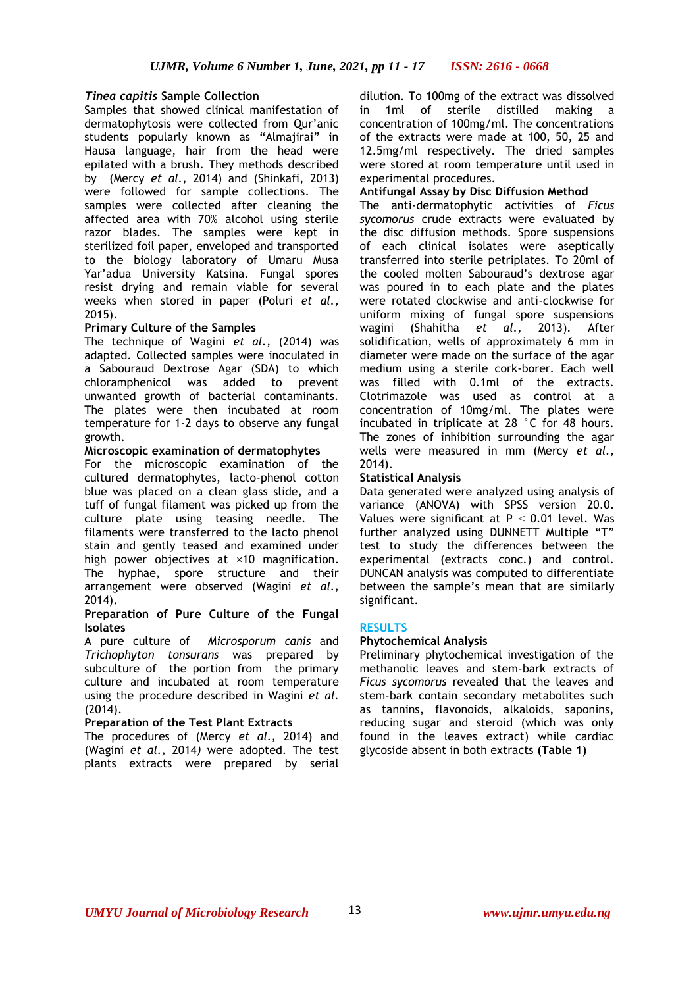# *Tinea capitis* **Sample Collection**

Samples that showed clinical manifestation of dermatophytosis were collected from Qur'anic students popularly known as "Almajirai" in Hausa language, hair from the head were epilated with a brush. They methods described by (Mercy *et al.,* 2014) and (Shinkafi, 2013) were followed for sample collections. The samples were collected after cleaning the affected area with 70% alcohol using sterile razor blades. The samples were kept in sterilized foil paper, enveloped and transported to the biology laboratory of Umaru Musa Yar'adua University Katsina. Fungal spores resist drying and remain viable for several weeks when stored in paper (Poluri *et al.,* 2015).

## **Primary Culture of the Samples**

The technique of Wagini *et al.,* (2014) was adapted. Collected samples were inoculated in a Sabouraud Dextrose Agar (SDA) to which chloramphenicol was added to prevent unwanted growth of bacterial contaminants. The plates were then incubated at room temperature for 1-2 days to observe any fungal growth.

## **Microscopic examination of dermatophytes**

For the microscopic examination of the cultured dermatophytes, lacto-phenol cotton blue was placed on a clean glass slide, and a tuff of fungal filament was picked up from the culture plate using teasing needle. The filaments were transferred to the lacto phenol stain and gently teased and examined under high power objectives at ×10 magnification. The hyphae, spore structure and their arrangement were observed (Wagini *et al.,*  2014)**.**

#### **Preparation of Pure Culture of the Fungal Isolates**

A pure culture of *Microsporum canis* and *Trichophyton tonsurans* was prepared by subculture of the portion from the primary culture and incubated at room temperature using the procedure described in Wagini *et al.* (2014).

# **Preparation of the Test Plant Extracts**

The procedures of (Mercy *et al.,* 2014) and (Wagini *et al.,* 2014*)* were adopted. The test plants extracts were prepared by serial

dilution. To 100mg of the extract was dissolved in 1ml of sterile distilled making a concentration of 100mg/ml. The concentrations of the extracts were made at 100, 50, 25 and 12.5mg/ml respectively. The dried samples were stored at room temperature until used in experimental procedures.

### **Antifungal Assay by Disc Diffusion Method**

The anti-dermatophytic activities of *Ficus sycomorus* crude extracts were evaluated by the disc diffusion methods. Spore suspensions of each clinical isolates were aseptically transferred into sterile petriplates. To 20ml of the cooled molten Sabouraud's dextrose agar was poured in to each plate and the plates were rotated clockwise and anti-clockwise for uniform mixing of fungal spore suspensions wagini (Shahitha *et al.,* 2013)*.* After solidification, wells of approximately 6 mm in diameter were made on the surface of the agar medium using a sterile cork-borer. Each well was filled with 0.1ml of the extracts. Clotrimazole was used as control at a concentration of 10mg/ml. The plates were incubated in triplicate at 28 °C for 48 hours. The zones of inhibition surrounding the agar wells were measured in mm (Mercy *et al.,* 2014).

# **Statistical Analysis**

Data generated were analyzed using analysis of variance (ANOVA) with SPSS version 20.0. Values were significant at  $P < 0.01$  level. Was further analyzed using DUNNETT Multiple "T" test to study the differences between the experimental (extracts conc.) and control. DUNCAN analysis was computed to differentiate between the sample's mean that are similarly significant.

#### **RESULTS**

#### **Phytochemical Analysis**

Preliminary phytochemical investigation of the methanolic leaves and stem-bark extracts of *Ficus sycomorus* revealed that the leaves and stem-bark contain secondary metabolites such as tannins, flavonoids, alkaloids, saponins, reducing sugar and steroid (which was only found in the leaves extract) while cardiac glycoside absent in both extracts **(Table 1)**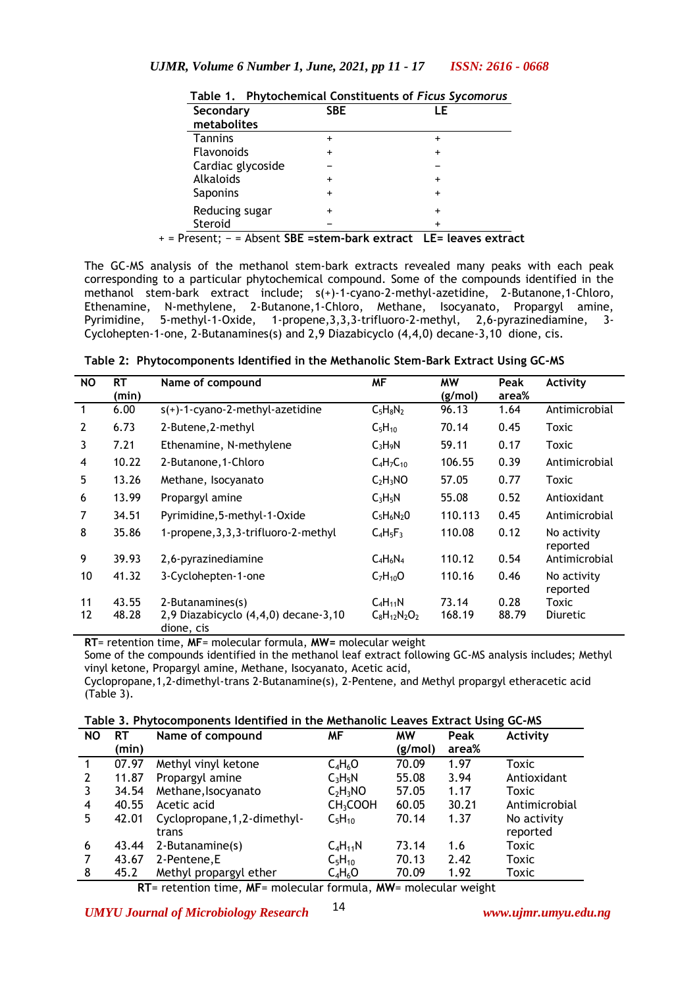| Secondary         | <b>SBE</b> | LE        |
|-------------------|------------|-----------|
| metabolites       |            |           |
| <b>Tannins</b>    | $\ddot{}$  | $\ddot{}$ |
| <b>Flavonoids</b> | $\ddot{}$  | $\ddot{}$ |
| Cardiac glycoside |            |           |
| Alkaloids         | $\div$     | +         |
| Saponins          | $\ddot{}$  | $\div$    |
| Reducing sugar    | $\ddot{}$  | $\ddot{}$ |
| Steroid           |            | $\div$    |

The GC-MS analysis of the methanol stem-bark extracts revealed many peaks with each peak corresponding to a particular phytochemical compound. Some of the compounds identified in the methanol stem-bark extract include; s(+)-1-cyano-2-methyl-azetidine, 2-Butanone,1-Chloro, Ethenamine, N-methylene, 2-Butanone,1-Chloro, Methane, Isocyanato, Propargyl amine, Pyrimidine, 5-methyl-1-Oxide, 1-propene,3,3,3-trifluoro-2-methyl, 2,6-pyrazinediamine, 3- Cyclohepten-1-one, 2-Butanamines(s) and 2,9 Diazabicyclo (4,4,0) decane-3,10 dione, cis.

|  |  | Table 2: Phytocomponents Identified in the Methanolic Stem-Bark Extract Using GC-MS |  |  |  |  |
|--|--|-------------------------------------------------------------------------------------|--|--|--|--|
|--|--|-------------------------------------------------------------------------------------|--|--|--|--|

| <b>NO</b>      | <b>RT</b><br>(min) | <b>MF</b><br>Name of compound                                          |                                   | <b>MW</b><br>(g/mol) | Peak<br>area% | Activity                 |  |
|----------------|--------------------|------------------------------------------------------------------------|-----------------------------------|----------------------|---------------|--------------------------|--|
| $\mathbf{1}$   | 6.00               | $s(+)$ -1-cyano-2-methyl-azetidine                                     | $C_5H_8N_2$                       | 96.13                | 1.64          | Antimicrobial            |  |
| $\overline{2}$ | 6.73               | 2-Butene, 2-methyl                                                     | $C_5H_{10}$                       | 70.14                | 0.45          | Toxic                    |  |
| 3              | 7.21               | Ethenamine, N-methylene                                                | $C_3H_9N$                         | 59.11                | 0.17          | Toxic                    |  |
| 4              | 10.22              | 2-Butanone, 1-Chloro                                                   | $C_4H_7C_{10}$                    | 106.55               | 0.39          | Antimicrobial            |  |
| 5              | 13.26              | Methane, Isocyanato                                                    | C <sub>2</sub> H <sub>3</sub> NO  | 57.05                | 0.77          | Toxic                    |  |
| 6              | 13.99              | Propargyl amine                                                        | $C_3H_5N$                         | 55.08                | 0.52          | Antioxidant              |  |
| 7              | 34.51              | Pyrimidine, 5-methyl-1-Oxide                                           | $C_5H_6N_2O$                      | 110.113              | 0.45          | Antimicrobial            |  |
| 8              | 35.86              | 1-propene, 3, 3, 3-trifluoro-2-methyl                                  | $C_4H_5F_3$                       | 110.08               | 0.12          | No activity<br>reported  |  |
| 9              | 39.93              | 2,6-pyrazinediamine                                                    | $C_4H_6N_4$                       | 110.12               | 0.54          | Antimicrobial            |  |
| 10             | 41.32              | 3-Cyclohepten-1-one                                                    | $C_7H_{10}O$                      | 110.16               | 0.46          | No activity<br>reported  |  |
| 11<br>12       | 43.55<br>48.28     | 2-Butanamines(s)<br>2,9 Diazabicyclo (4,4,0) decane-3,10<br>dione, cis | $C_4H_{11}N$<br>$C_8H_{12}N_2O_2$ | 73.14<br>168.19      | 0.28<br>88.79 | Toxic<br><b>Diuretic</b> |  |

**RT**= retention time, **MF**= molecular formula, **MW=** molecular weight

Some of the compounds identified in the methanol leaf extract following GC-MS analysis includes; Methyl vinyl ketone, Propargyl amine, Methane, Isocyanato, Acetic acid,

Cyclopropane,1,2-dimethyl-trans 2-Butanamine(s), 2-Pentene, and Methyl propargyl etheracetic acid (Table 3).

**Table 3. Phytocomponents Identified in the Methanolic Leaves Extract Using GC-MS**

| <b>NO</b>   | RT    | Name of compound             | ΜF                   | <b>MW</b> | Peak  | Activity      |
|-------------|-------|------------------------------|----------------------|-----------|-------|---------------|
|             | (min) |                              |                      | (g/mol)   | area% |               |
| $\mathbf 1$ | 07.97 | Methyl vinyl ketone          | $C_4H_6O$            | 70.09     | 1.97  | Toxic         |
| 2           | 11.87 | Propargyl amine              | $C_3H_5N$            | 55.08     | 3.94  | Antioxidant   |
|             | 34.54 | Methane, Isocyanato          | $C_2H_3NO$           | 57.05     | 1.17  | Toxic         |
| 4           | 40.55 | Acetic acid                  | CH <sub>3</sub> COOH | 60.05     | 30.21 | Antimicrobial |
| 5           | 42.01 | Cyclopropane, 1, 2-dimethyl- | $C_5H_{10}$          | 70.14     | 1.37  | No activity   |
|             |       | trans                        |                      |           |       | reported      |
| 6           | 43.44 | 2-Butanamine(s)              | $C_4H_{11}N$         | 73.14     | 1.6   | <b>Toxic</b>  |
|             | 43.67 | 2-Pentene, E                 | $C_5H_{10}$          | 70.13     | 2.42  | Toxic         |
| 8           | 45.2  | Methyl propargyl ether       | $C_4H_6O$            | 70.09     | 1.92  | Toxic         |

 **RT**= retention time, **MF**= molecular formula, **MW**= molecular weight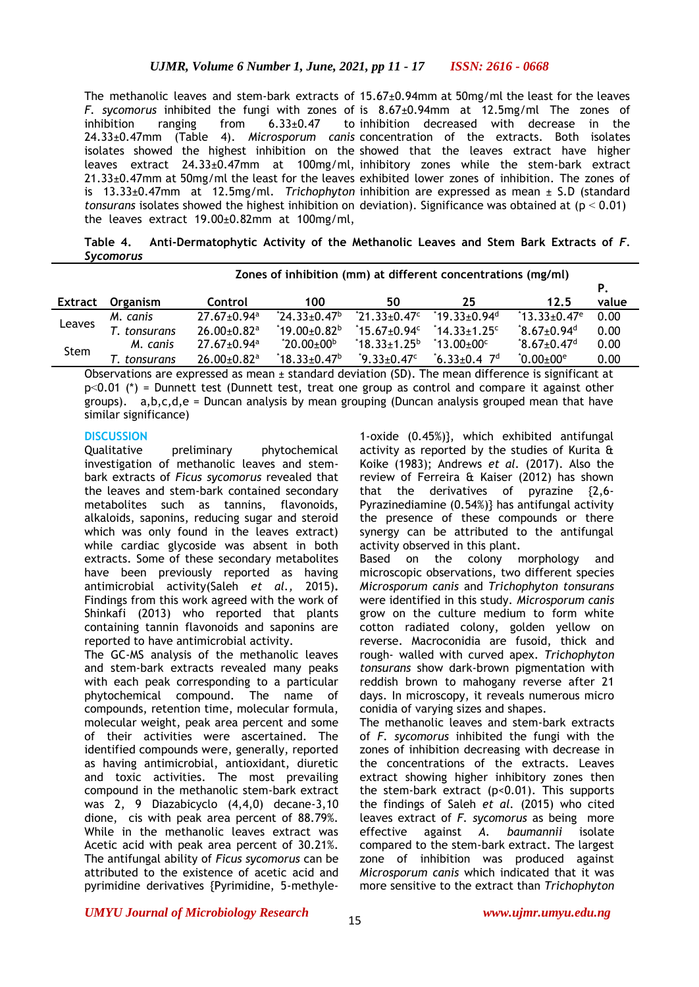The methanolic leaves and stem-bark extracts of 15.67±0.94mm at 50mg/ml the least for the leaves *F. sycomorus* inhibited the fungi with zones of is 8.67±0.94mm at 12.5mg/ml The zones of inhibition ranging from  $6.33\pm0.47$ 24.33±0.47mm (Table 4). *Microsporum canis* concentration of the extracts. Both isolates isolates showed the highest inhibition on the showed that the leaves extract have higher leaves extract 24.33±0.47mm at 100mg/ml, inhibitory zones while the stem-bark extract 21.33±0.47mm at 50mg/ml the least for the leaves exhibited lower zones of inhibition. The zones of is 13.33±0.47mm at 12.5mg/ml. *Trichophyton*  inhibition are expressed as mean ± S.D (standard *tonsurans* isolates showed the highest inhibition on deviation). Significance was obtained at (p ˂ 0.01) the leaves extract 19.00±0.82mm at 100mg/ml, to inhibition decreased with decrease in the

Table 4. Anti-Dermatophytic Activity of the Methanolic Leaves and Stem Bark Extracts of F. *Sycomorus*

|         | Zones of inhibition (mm) at different concentrations (mg/ml) |                               |                               |                                  |                                      |                              |       |
|---------|--------------------------------------------------------------|-------------------------------|-------------------------------|----------------------------------|--------------------------------------|------------------------------|-------|
|         |                                                              |                               |                               |                                  |                                      |                              | Р.    |
| Extract | Organism                                                     | Control                       | 100                           | 50                               | 25                                   | 12.5                         | value |
| Leaves  | M. canis                                                     | $27.67 \pm 0.94$ <sup>a</sup> | $^*$ 24.33+0.47 <sup>b</sup>  | $*21.33+0.47c$                   | $*19.33 + 0.94$ <sup>d</sup>         | $13.33 + 0.47$ <sup>e</sup>  | 0.00  |
|         | tonsurans .                                                  | $26.00+0.82$ <sup>a</sup>     | $^*$ 19.00±0.82 $^{\rm b}$ .  | $^*$ 15.67 $\pm$ 0.94 $^{\circ}$ | $*14.33 + 1.25$                      | $3.67 \pm 0.94$ <sup>d</sup> | 0.00  |
| Stem    | M. canis                                                     | $27.67 \pm 0.94$ <sup>a</sup> | $^{\circ}20.00\pm00^{\rm b}$  | $18.33 \pm 1.25$ <sup>b</sup>    | $^{\circ}$ 13.00 $\pm$ 00 $^{\circ}$ | $3.67 \pm 0.47$ <sup>d</sup> | 0.00  |
|         | tonsurans                                                    | $26.00 \pm 0.82$ <sup>a</sup> | $18.33 \pm 0.47$ <sup>b</sup> | $^{\circ}$ 9.33±0.47 $^{\circ}$  | $16.33+0.4$ 7 <sup>d</sup>           | $"0.00 \pm 00"$              | 0.00  |

Observations are expressed as mean ± standard deviation (SD). The mean difference is significant at  $p<0.01$  (\*) = Dunnett test (Dunnett test, treat one group as control and compare it against other groups). a,b,c,d,e = Duncan analysis by mean grouping (Duncan analysis grouped mean that have similar significance)

#### **DISCUSSION**

Qualitative preliminary phytochemical investigation of methanolic leaves and stembark extracts of *Ficus sycomorus* revealed that the leaves and stem-bark contained secondary metabolites such as tannins, flavonoids, alkaloids, saponins, reducing sugar and steroid which was only found in the leaves extract) while cardiac glycoside was absent in both extracts. Some of these secondary metabolites have been previously reported as having antimicrobial activity(Saleh *et al.,* 2015)**.**  Findings from this work agreed with the work of Shinkafi (2013) who reported that plants containing tannin flavonoids and saponins are reported to have antimicrobial activity.

The GC-MS analysis of the methanolic leaves and stem-bark extracts revealed many peaks with each peak corresponding to a particular phytochemical compound. The name of compounds, retention time, molecular formula, molecular weight, peak area percent and some of their activities were ascertained. The identified compounds were, generally, reported as having antimicrobial, antioxidant, diuretic and toxic activities. The most prevailing compound in the methanolic stem-bark extract was 2, 9 Diazabicyclo (4,4,0) decane-3,10 dione, cis with peak area percent of 88.79%. While in the methanolic leaves extract was Acetic acid with peak area percent of 30.21%. The antifungal ability of *Ficus sycomorus* can be attributed to the existence of acetic acid and pyrimidine derivatives {Pyrimidine, 5-methyle-

1-oxide (0.45%)}, which exhibited antifungal activity as reported by the studies of Kurita & Koike (1983); Andrews *et al.* (2017). Also the review of Ferreira & Kaiser (2012) has shown that the derivatives of pyrazine {2,6- Pyrazinediamine (0.54%)} has antifungal activity the presence of these compounds or there synergy can be attributed to the antifungal activity observed in this plant.

Based on the colony morphology and microscopic observations, two different species *Microsporum canis* and *Trichophyton tonsurans* were identified in this study. *Microsporum canis* grow on the culture medium to form white cotton radiated colony, golden yellow on reverse. Macroconidia are fusoid, thick and rough- walled with curved apex. *Trichophyton tonsurans* show dark-brown pigmentation with reddish brown to mahogany reverse after 21 days. In microscopy, it reveals numerous micro conidia of varying sizes and shapes.

The methanolic leaves and stem-bark extracts of *F. sycomorus* inhibited the fungi with the zones of inhibition decreasing with decrease in the concentrations of the extracts. Leaves extract showing higher inhibitory zones then the stem-bark extract (p<0.01). This supports the findings of Saleh *et al.* (2015) who cited leaves extract of *F. sycomorus* as being more effective against *A. baumannii* isolate compared to the stem-bark extract. The largest zone of inhibition was produced against *Microsporum canis* which indicated that it was more sensitive to the extract than *Trichophyton* 

*UMYU Journal of Microbiology Research www.ujmr.umyu.edu.ng*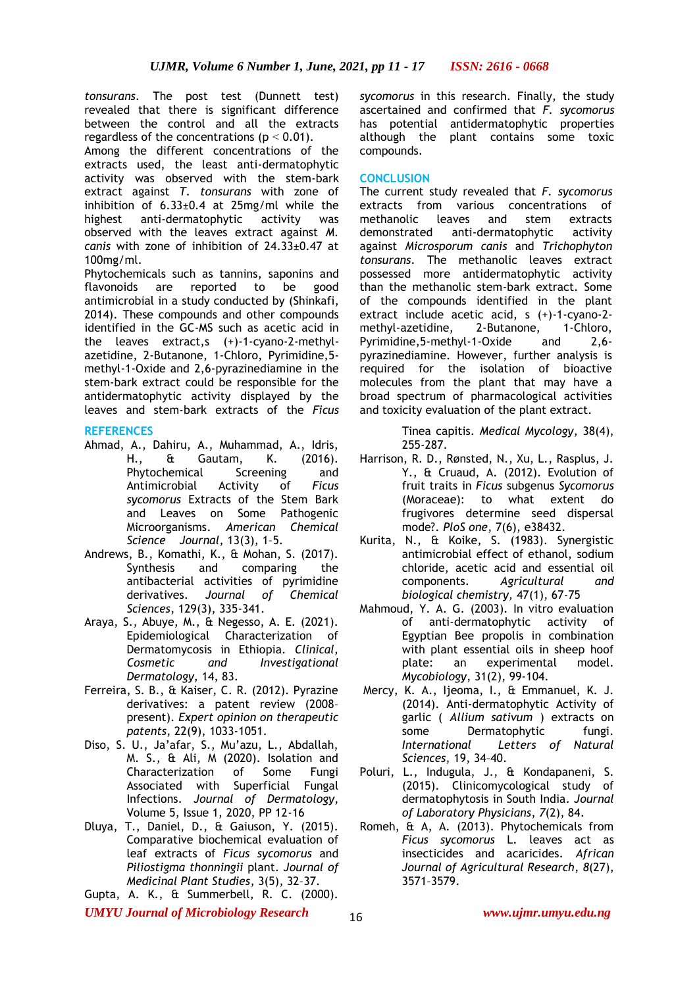*tonsurans*. The post test (Dunnett test) revealed that there is significant difference between the control and all the extracts regardless of the concentrations ( $p < 0.01$ ).

Among the different concentrations of the extracts used, the least anti-dermatophytic activity was observed with the stem-bark extract against *T. tonsurans* with zone of inhibition of  $6.33\pm0.4$  at  $25$ mg/ml while the highest anti-dermatophytic activity was observed with the leaves extract against *M. canis* with zone of inhibition of 24.33±0.47 at 100mg/ml.

Phytochemicals such as tannins, saponins and flavonoids are reported to be good antimicrobial in a study conducted by (Shinkafi, 2014). These compounds and other compounds identified in the GC-MS such as acetic acid in the leaves extract,s (+)-1-cyano-2-methylazetidine, 2-Butanone, 1-Chloro, Pyrimidine,5 methyl-1-Oxide and 2,6-pyrazinediamine in the stem-bark extract could be responsible for the antidermatophytic activity displayed by the leaves and stem-bark extracts of the *Ficus* 

# **REFERENCES**

- Ahmad, A., Dahiru, A., Muhammad, A., Idris, H., & Gautam, K. (2016). Phytochemical Screening and Antimicrobial Activity of *Ficus sycomorus* Extracts of the Stem Bark and Leaves on Some Pathogenic Microorganisms. *American Chemical Science Journal*, 13(3), 1–5.
- Andrews, B., Komathi, K., & Mohan, S. (2017). Synthesis and comparing the antibacterial activities of pyrimidine derivatives. *Journal of Chemical Sciences*, 129(3), 335-341.
- Araya, S., Abuye, M., & Negesso, A. E. (2021). Epidemiological Characterization of Dermatomycosis in Ethiopia. *Clinical, Cosmetic and Investigational Dermatology*, 14, 83.
- Ferreira, S. B., & Kaiser, C. R. (2012). Pyrazine derivatives: a patent review (2008– present). *Expert opinion on therapeutic patents*, 22(9), 1033-1051.
- Diso, S. U., Ja'afar, S., Mu'azu, L., Abdallah, M. S., & Ali, M (2020). Isolation and Characterization of Some Fungi Associated with Superficial Fungal Infections. *Journal of Dermatology*, Volume 5, Issue 1, 2020, PP 12-16
- Dluya, T., Daniel, D., & Gaiuson, Y. (2015). Comparative biochemical evaluation of leaf extracts of *Ficus sycomorus* and *Piliostigma thonningii* plant. *Journal of Medicinal Plant Studies*, 3(5), 32–37.
- Gupta, A. K., & Summerbell, R. C. (2000).

*sycomorus* in this research. Finally, the study ascertained and confirmed that *F. sycomorus*  has potential antidermatophytic properties although the plant contains some toxic compounds.

## **CONCLUSION**

The current study revealed that *F. sycomorus*  extracts from various concentrations of methanolic leaves and stem extracts demonstrated anti-dermatophytic activity against *Microsporum canis* and *Trichophyton tonsurans*. The methanolic leaves extract possessed more antidermatophytic activity than the methanolic stem-bark extract. Some of the compounds identified in the plant extract include acetic acid, s (+)-1-cyano-2 methyl-azetidine, 2-Butanone, 1-Chloro, Pyrimidine,5-methyl-1-Oxide and 2,6 pyrazinediamine. However, further analysis is required for the isolation of bioactive molecules from the plant that may have a broad spectrum of pharmacological activities and toxicity evaluation of the plant extract.

> Tinea capitis. *Medical Mycology*, 38(4), 255-287.

- Harrison, R. D., Rønsted, N., Xu, L., Rasplus, J. Y., & Cruaud, A. (2012). Evolution of fruit traits in *Ficus* subgenus *Sycomorus* (Moraceae): to what extent do frugivores determine seed dispersal mode?. *PloS one*, 7(6), e38432.
- Kurita, N., & Koike, S. (1983). Synergistic antimicrobial effect of ethanol, sodium chloride, acetic acid and essential oil components. *Agricultural and biological chemistry,* 47(1), 67-75
- Mahmoud, Y. A. G. (2003). In vitro evaluation of anti-dermatophytic activity of Egyptian Bee propolis in combination with plant essential oils in sheep hoof plate: an experimental model. *Mycobiology*, 31(2), 99-104.
- Mercy, K. A., Ijeoma, I., & Emmanuel, K. J. (2014). Anti-dermatophytic Activity of garlic ( *Allium sativum* ) extracts on some Dermatophytic fungi.<br>International Letters of Natural Letters of Natural *Sciences*, 19, 34–40.
- Poluri, L., Indugula, J., & Kondapaneni, S. (2015). Clinicomycological study of dermatophytosis in South India. *Journal of Laboratory Physicians*, *7*(2), 84.
- Romeh, & A, A. (2013). Phytochemicals from *Ficus sycomorus* L. leaves act as insecticides and acaricides. *African Journal of Agricultural Research*, *8*(27), 3571–3579.

*UMYU Journal of Microbiology Research www.ujmr.umyu.edu.ng*